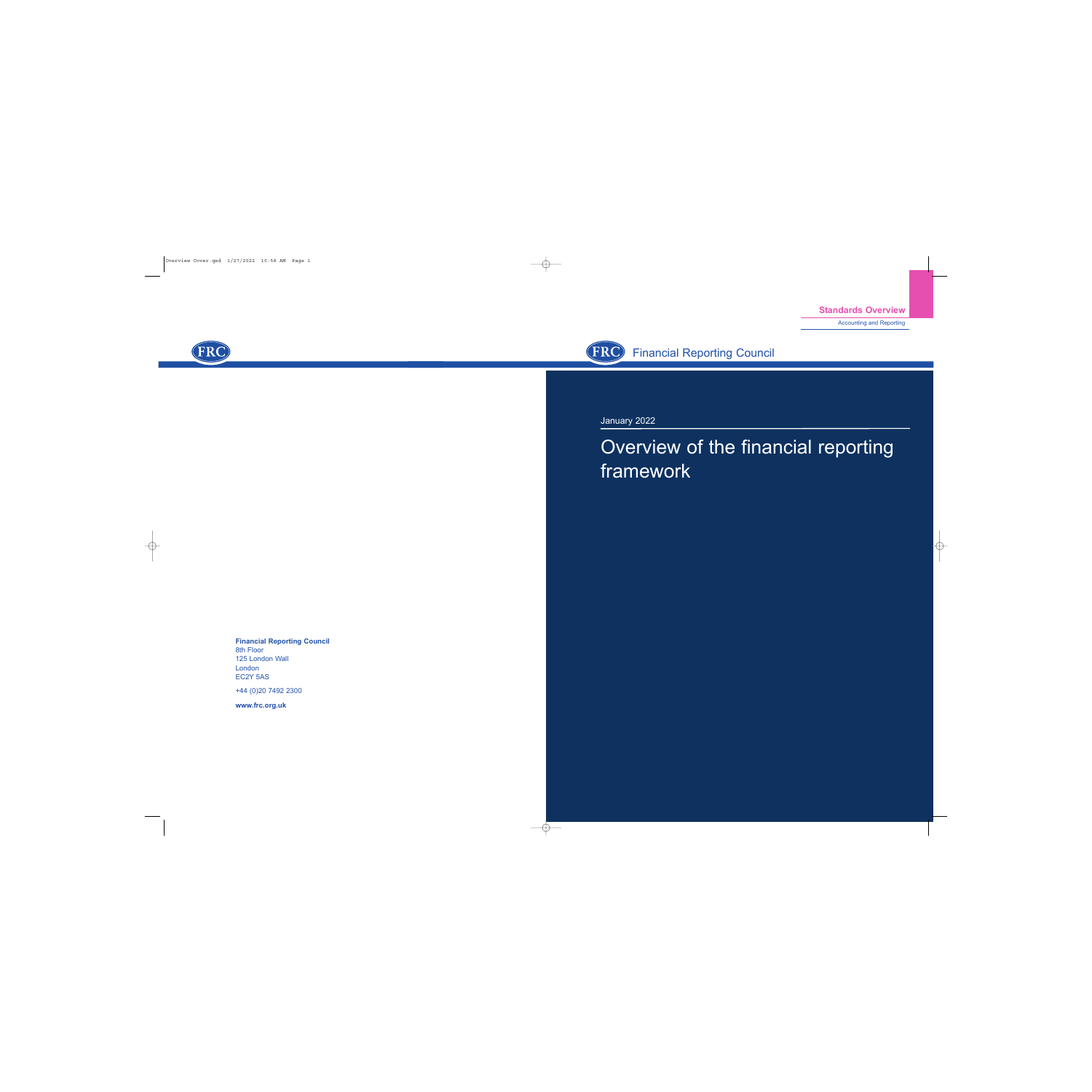

January 2022

# Overview of the financial reporting framework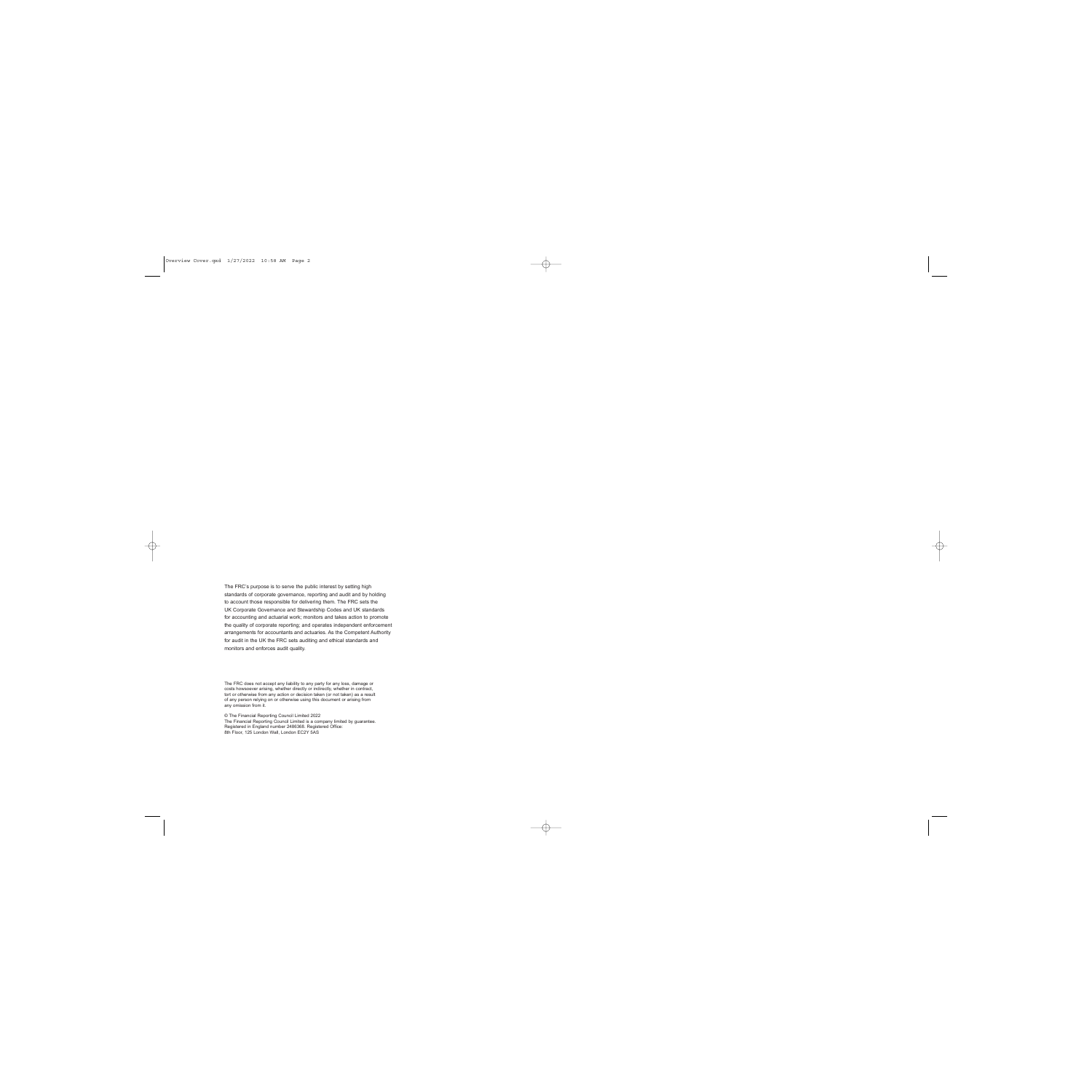The FRC's purpose is to serve the public interest by setting high standards of corporate governance, reporting and audit and by holding to account those responsible for delivering them. The FRC sets the UK Corporate Governance and Stewardship Codes and UK standards for accounting and actuarial work; monitors and takes action to promote the quality of corporate reporting; and operates independent enforcement arrangements for accountants and actuaries. As the Competent Authority for audit in the UK the FRC sets auditing and ethical standards and monitors and enforces audit quality.

The FRC does not accept any liability to any party for any loss, damage or costs howsoever arising, whether directly or indirectly, whether in contract, tort or otherwise from any action or decision taken (or not taken) as a result of any person relying on or otherwise using this document or arising from any omission from it.

© The Financial Reporting Council Limited 2022

The Financial Reporting Council Limited is a company limited by guarantee. Registered in England number 2486368. Registered Office: 8th Floor, 125 London Wall, London EC2Y 5AS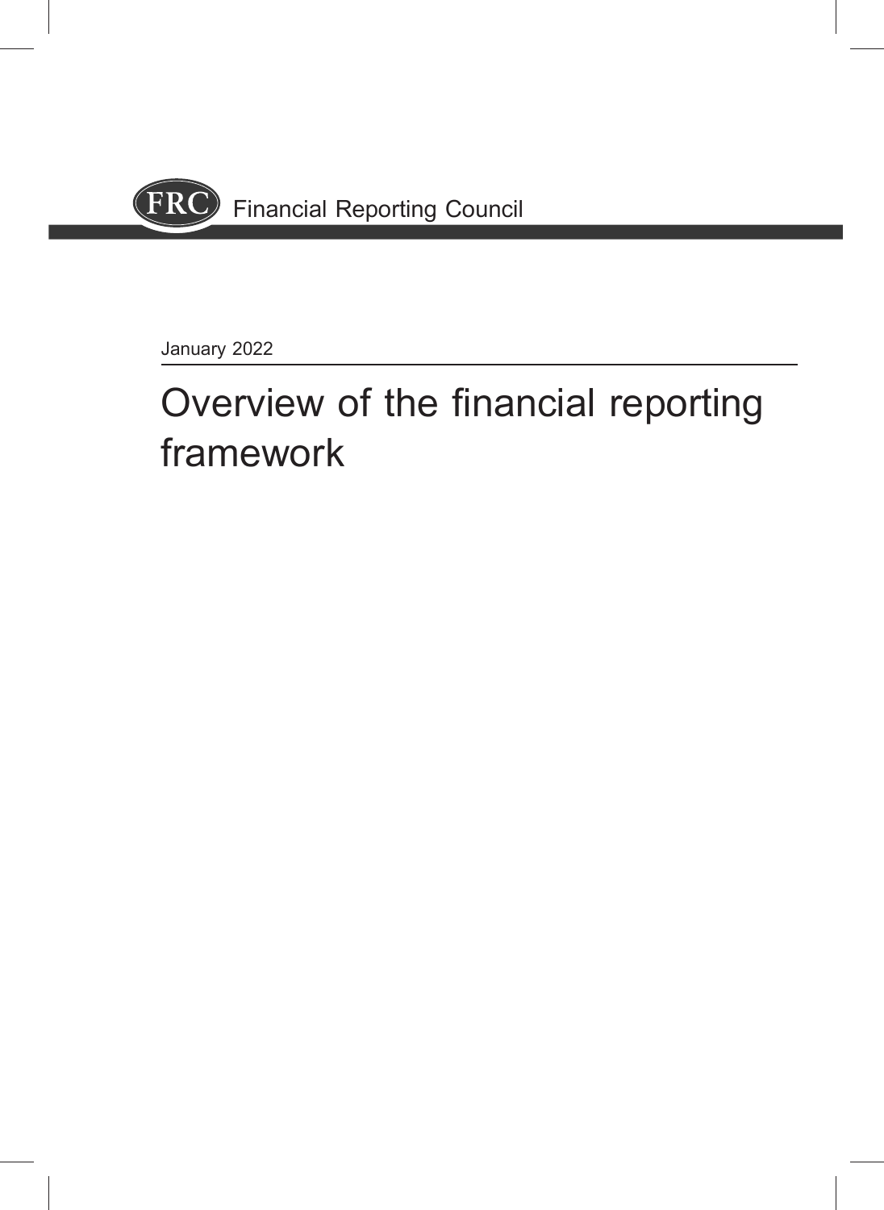

January 2022

# Overview of the financial reporting framework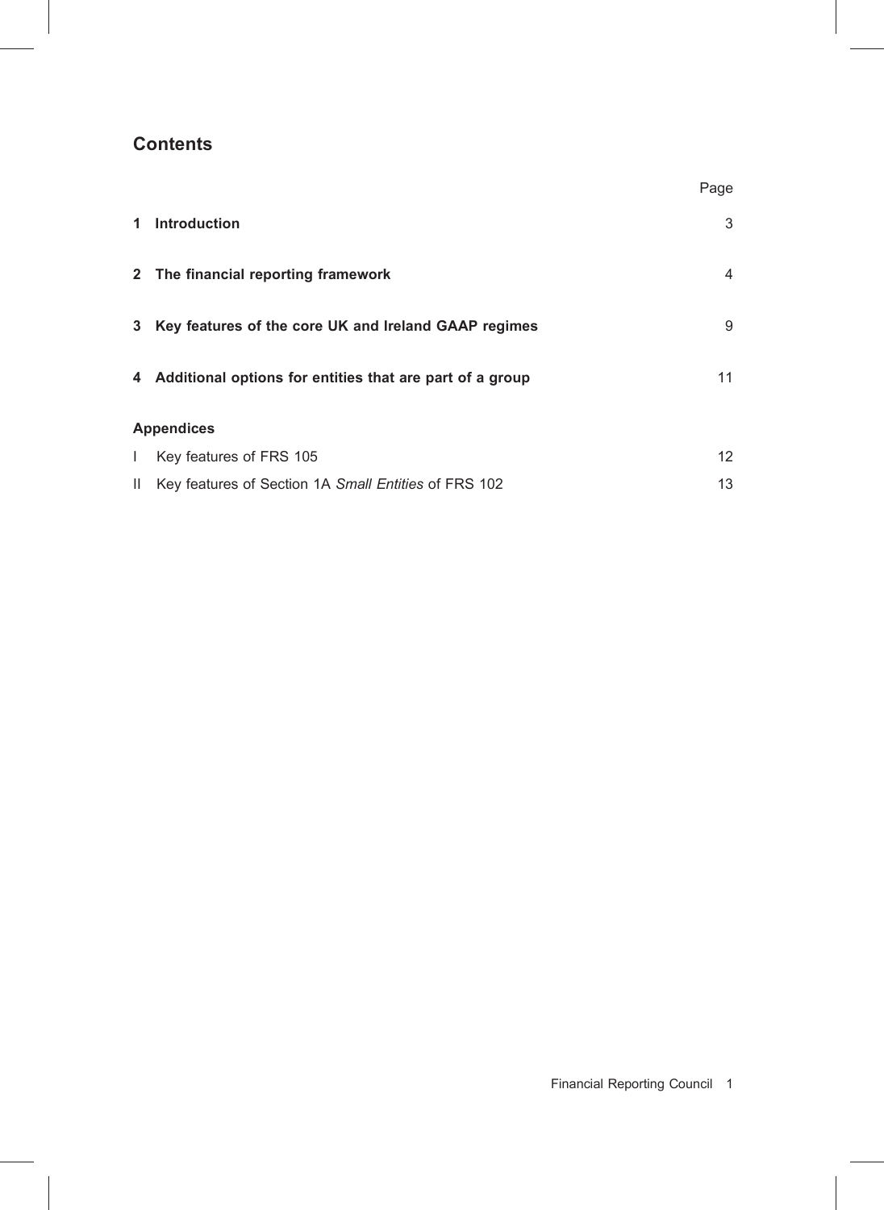## **Contents**

|             |                                                            | Page           |
|-------------|------------------------------------------------------------|----------------|
| $\mathbf 1$ | <b>Introduction</b>                                        | 3              |
|             | 2 The financial reporting framework                        | $\overline{4}$ |
|             | 3 Key features of the core UK and Ireland GAAP regimes     | 9              |
|             | 4 Additional options for entities that are part of a group | 11             |
|             | <b>Appendices</b>                                          |                |
| L           | Key features of FRS 105                                    | 12             |
|             | II Key features of Section 1A Small Entities of FRS 102    | 13             |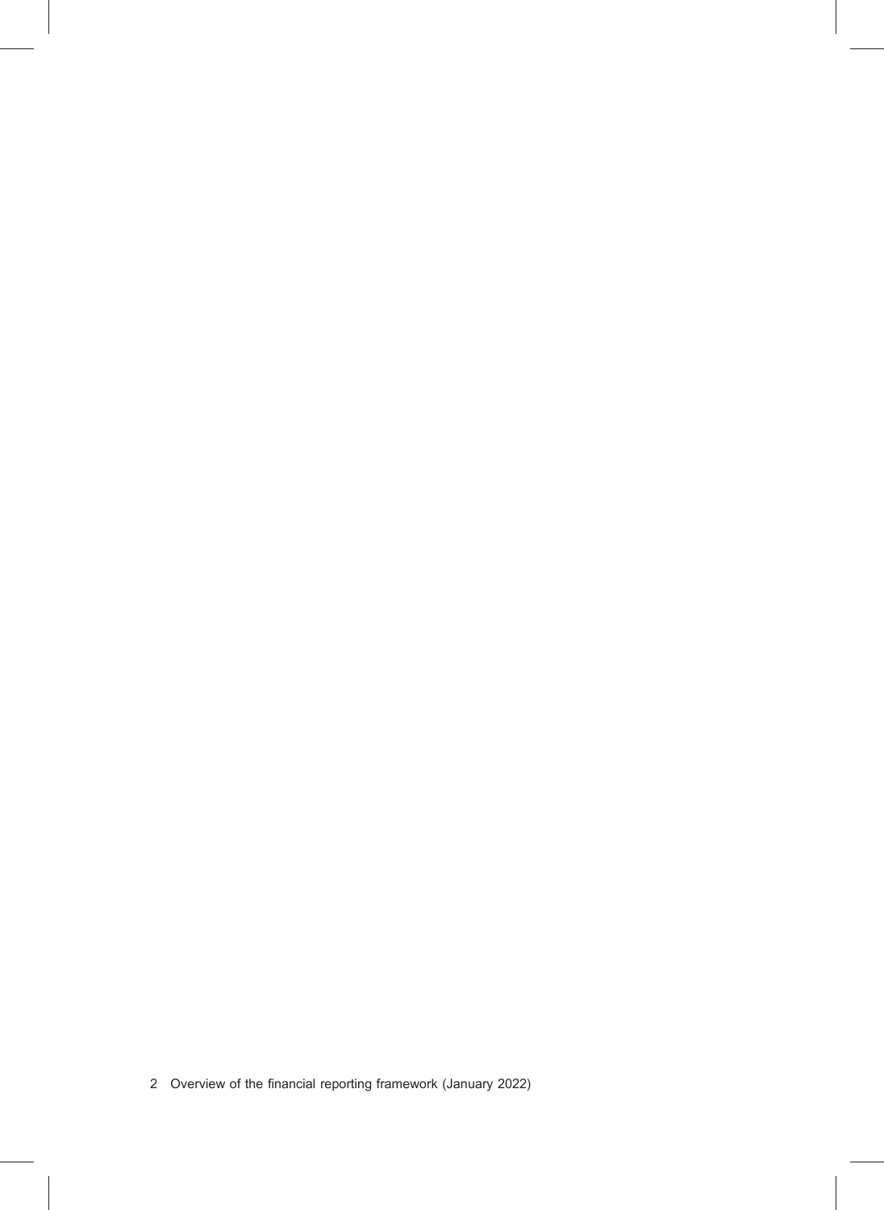2 Overview of the financial reporting framework (January 2022)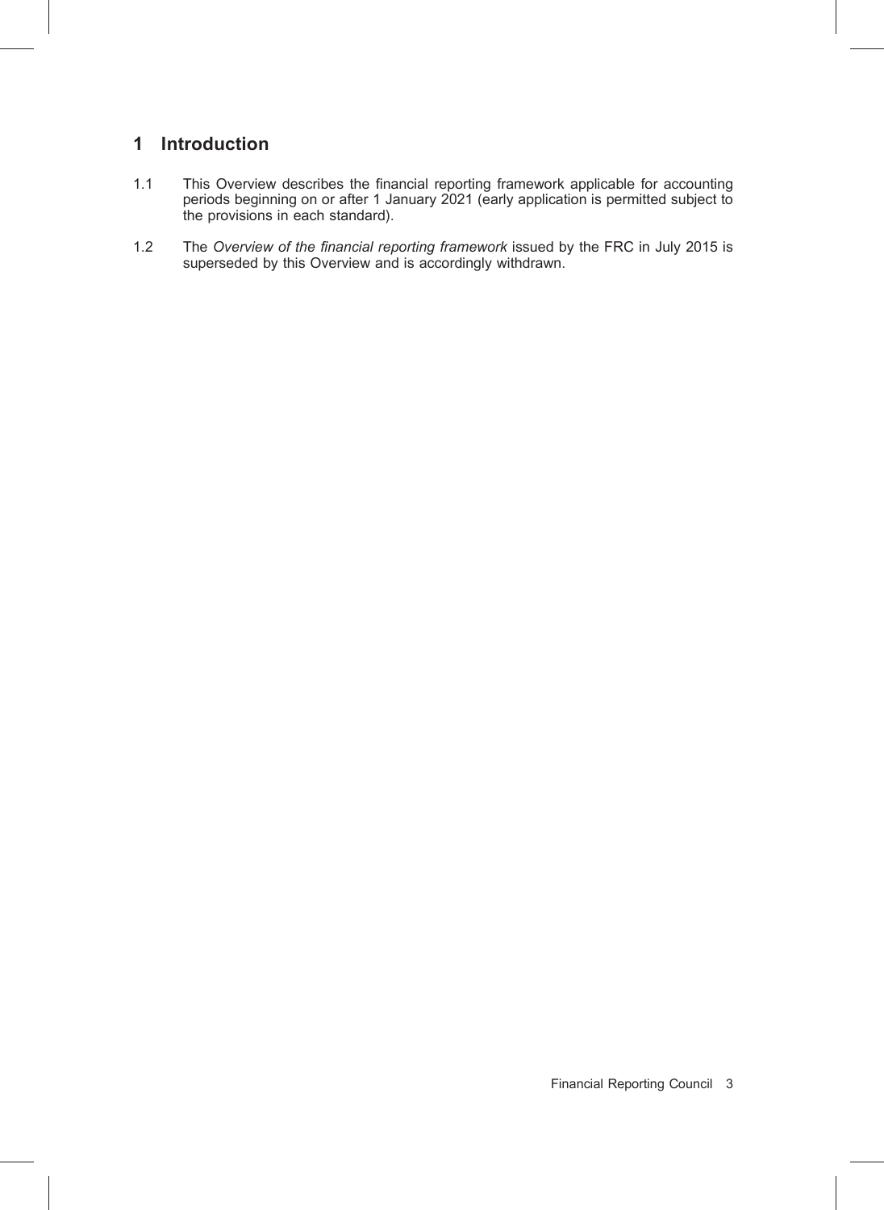### 1 Introduction

- 1.1 This Overview describes the financial reporting framework applicable for accounting periods beginning on or after 1 January 2021 (early application is permitted subject to the provisions in each standard).
- 1.2 The Overview of the financial reporting framework issued by the FRC in July 2015 is superseded by this Overview and is accordingly withdrawn.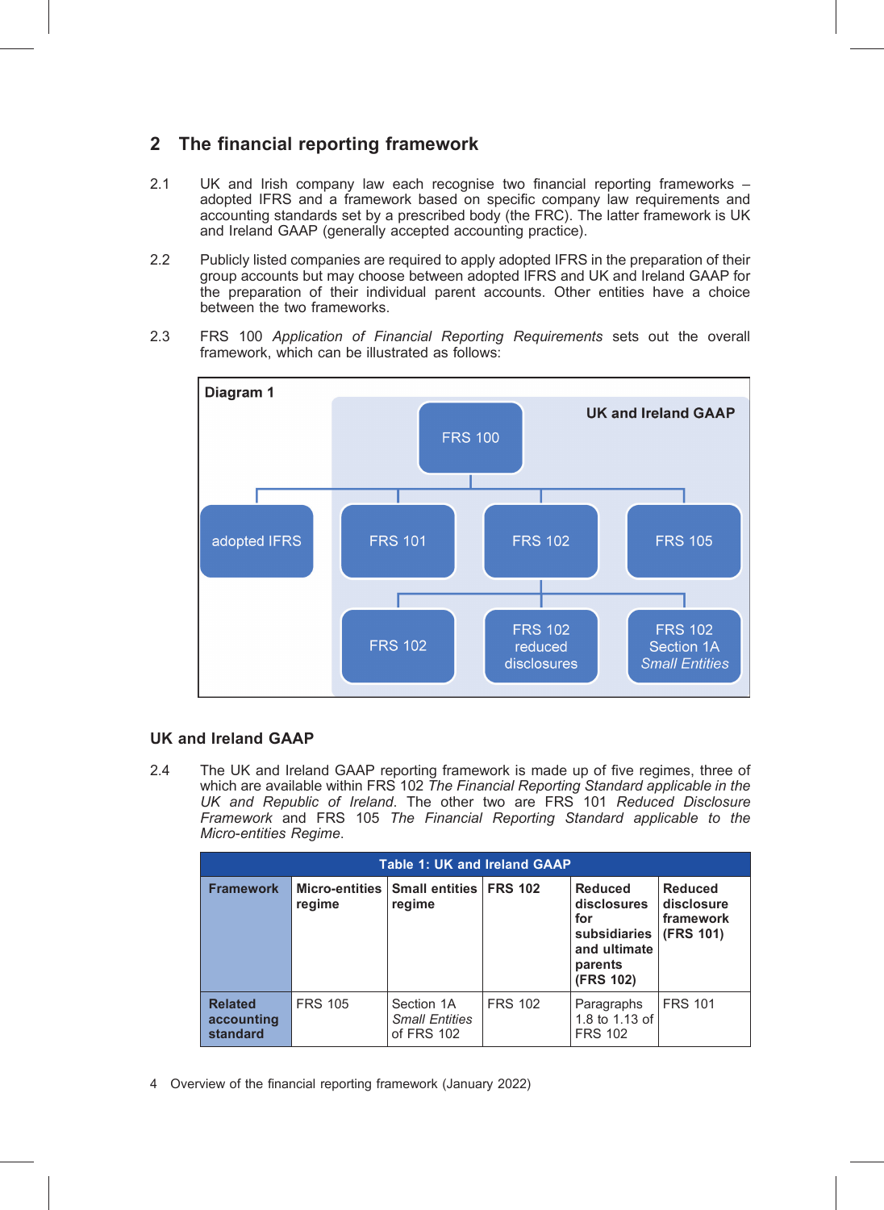## 2 The financial reporting framework

- 2.1 UK and Irish company law each recognise two financial reporting frameworks adopted IFRS and a framework based on specific company law requirements and accounting standards set by a prescribed body (the FRC). The latter framework is UK and Ireland GAAP (generally accepted accounting practice).
- 2.2 Publicly listed companies are required to apply adopted IFRS in the preparation of their group accounts but may choose between adopted IFRS and UK and Ireland GAAP for the preparation of their individual parent accounts. Other entities have a choice between the two frameworks.
- 2.3 FRS 100 Application of Financial Reporting Requirements sets out the overall framework, which can be illustrated as follows:



#### UK and Ireland GAAP

2.4 The UK and Ireland GAAP reporting framework is made up of five regimes, three of which are available within FRS 102 The Financial Reporting Standard applicable in the UK and Republic of Ireland. The other two are FRS 101 Reduced Disclosure Framework and FRS 105 The Financial Reporting Standard applicable to the Micro-entities Regime.

| Table 1: UK and Ireland GAAP             |                          |                                                   |                |                                                                                              |                                                        |
|------------------------------------------|--------------------------|---------------------------------------------------|----------------|----------------------------------------------------------------------------------------------|--------------------------------------------------------|
| <b>Framework</b>                         | Micro-entities<br>regime | <b>Small entities   FRS 102</b><br>regime         |                | <b>Reduced</b><br>disclosures<br>for<br>subsidiaries<br>and ultimate<br>parents<br>(FRS 102) | <b>Reduced</b><br>disclosure<br>framework<br>(FRS 101) |
| <b>Related</b><br>accounting<br>standard | <b>FRS 105</b>           | Section 1A<br><b>Small Entities</b><br>of FRS 102 | <b>FRS 102</b> | Paragraphs<br>1.8 to 1.13 of<br><b>FRS 102</b>                                               | <b>FRS 101</b>                                         |

4 Overview of the financial reporting framework (January 2022)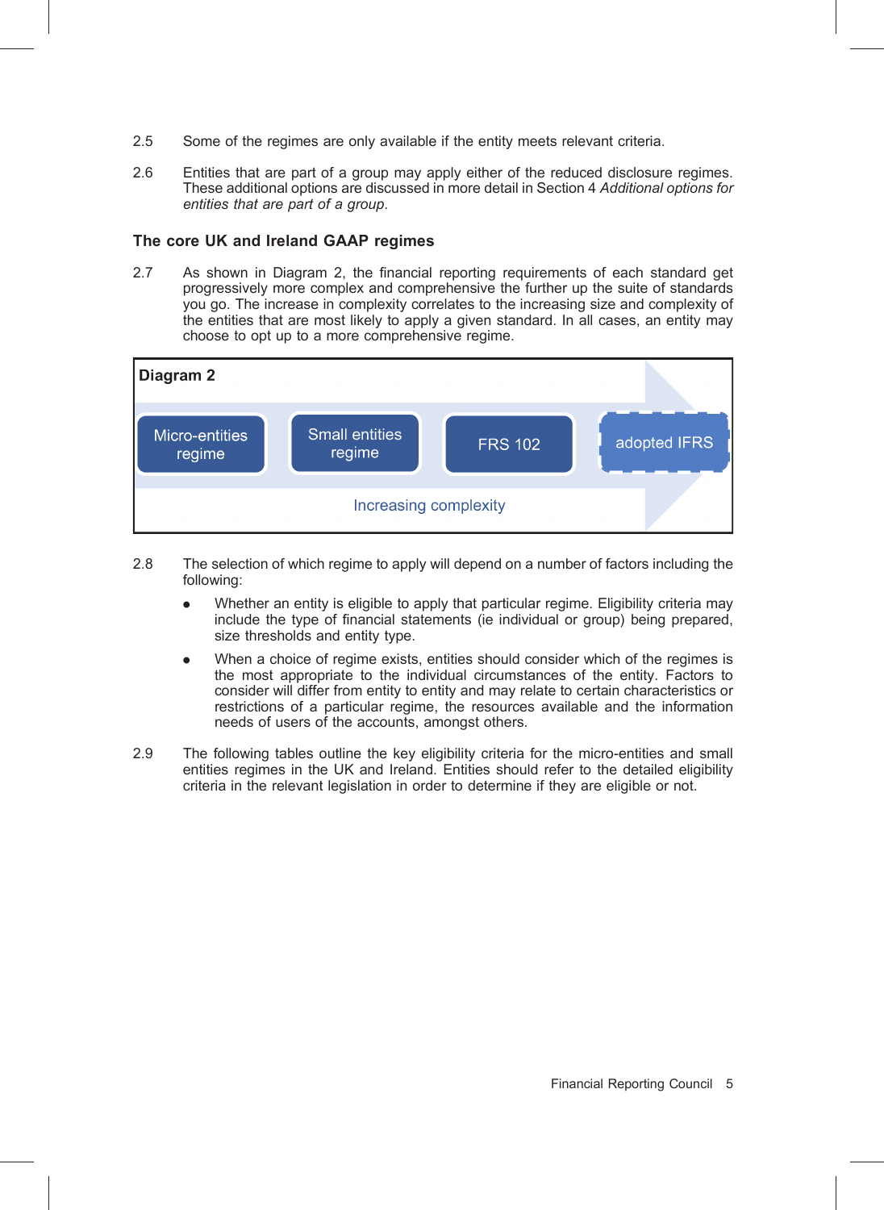- 2.5 Some of the regimes are only available if the entity meets relevant criteria.
- 2.6 Entities that are part of a group may apply either of the reduced disclosure regimes. These additional options are discussed in more detail in Section 4 Additional options for entities that are part of a group.

#### The core UK and Ireland GAAP regimes

2.7 As shown in Diagram 2, the financial reporting requirements of each standard get progressively more complex and comprehensive the further up the suite of standards you go. The increase in complexity correlates to the increasing size and complexity of the entities that are most likely to apply a given standard. In all cases, an entity may choose to opt up to a more comprehensive regime.



- 2.8 The selection of which regime to apply will depend on a number of factors including the following:
	- . Whether an entity is eligible to apply that particular regime. Eligibility criteria may include the type of financial statements (ie individual or group) being prepared, size thresholds and entity type.
	- . When a choice of regime exists, entities should consider which of the regimes is the most appropriate to the individual circumstances of the entity. Factors to consider will differ from entity to entity and may relate to certain characteristics or restrictions of a particular regime, the resources available and the information needs of users of the accounts, amongst others.
- 2.9 The following tables outline the key eligibility criteria for the micro-entities and small entities regimes in the UK and Ireland. Entities should refer to the detailed eligibility criteria in the relevant legislation in order to determine if they are eligible or not.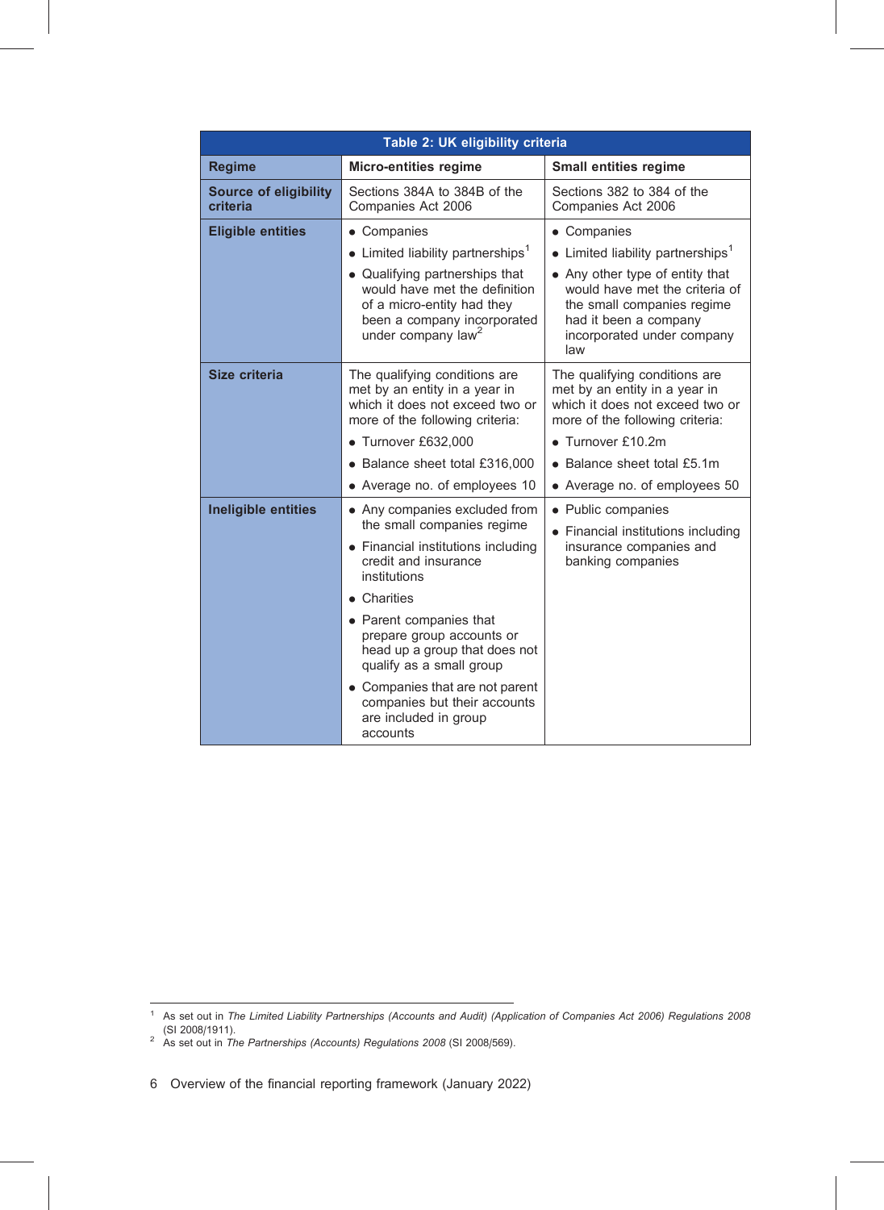| Table 2: UK eligibility criteria         |                                                                                                                                      |                                                                                                                                      |  |
|------------------------------------------|--------------------------------------------------------------------------------------------------------------------------------------|--------------------------------------------------------------------------------------------------------------------------------------|--|
| <b>Regime</b>                            | <b>Micro-entities regime</b>                                                                                                         | <b>Small entities regime</b>                                                                                                         |  |
| <b>Source of eligibility</b><br>criteria | Sections 384A to 384B of the<br>Companies Act 2006                                                                                   | Sections 382 to 384 of the<br>Companies Act 2006                                                                                     |  |
| <b>Eligible entities</b>                 | • Companies<br>• Limited liability partnerships <sup>1</sup><br>• Qualifying partnerships that<br>would have met the definition      | • Companies<br>• Limited liability partnerships <sup>1</sup><br>• Any other type of entity that<br>would have met the criteria of    |  |
|                                          | of a micro-entity had they<br>been a company incorporated<br>under company law <sup>2</sup>                                          | the small companies regime<br>had it been a company<br>incorporated under company<br>law                                             |  |
| Size criteria                            | The qualifying conditions are<br>met by an entity in a year in<br>which it does not exceed two or<br>more of the following criteria: | The qualifying conditions are<br>met by an entity in a year in<br>which it does not exceed two or<br>more of the following criteria: |  |
|                                          | • Turnover £632,000                                                                                                                  | • Turnover £10.2m                                                                                                                    |  |
|                                          | • Balance sheet total £316,000                                                                                                       | • Balance sheet total £5.1m                                                                                                          |  |
|                                          | • Average no. of employees 10                                                                                                        | • Average no. of employees 50                                                                                                        |  |
| <b>Ineligible entities</b>               | • Any companies excluded from                                                                                                        | • Public companies                                                                                                                   |  |
|                                          | the small companies regime                                                                                                           | • Financial institutions including                                                                                                   |  |
|                                          | • Financial institutions including<br>credit and insurance<br>institutions                                                           | insurance companies and<br>banking companies                                                                                         |  |
|                                          | Charities<br>$\bullet$                                                                                                               |                                                                                                                                      |  |
|                                          | • Parent companies that<br>prepare group accounts or<br>head up a group that does not<br>qualify as a small group                    |                                                                                                                                      |  |
|                                          | • Companies that are not parent<br>companies but their accounts<br>are included in group<br>accounts                                 |                                                                                                                                      |  |

<sup>&</sup>lt;sup>1</sup> As set out in The Limited Liability Partnerships (Accounts and Audit) (Application of Companies Act 2006) Regulations 2008 (SI 2008/1911).<br><sup>2</sup> As set out in *The Partnerships (Accounts) Regulations 2008 (SI 2008/569).*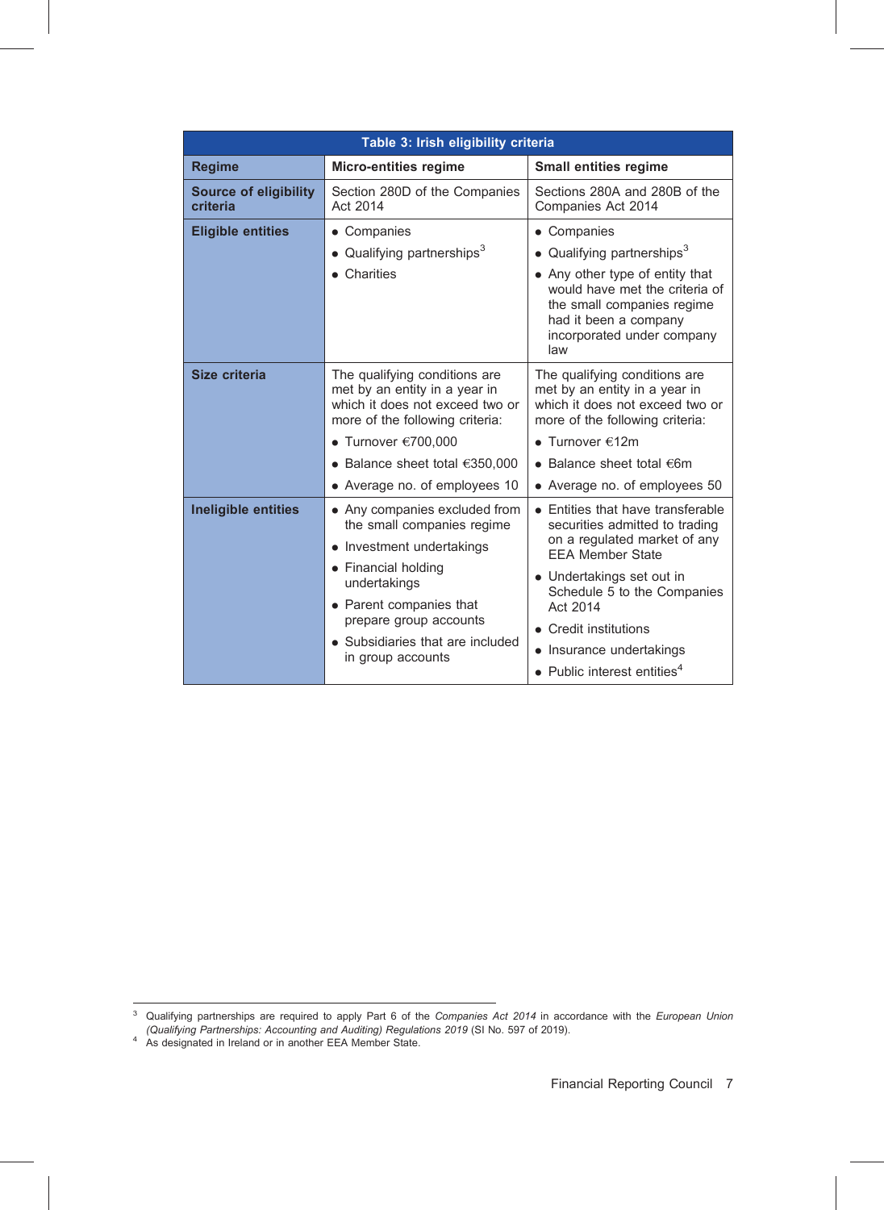| Table 3: Irish eligibility criteria      |                                                                                                                                      |                                                                                                                                                               |  |
|------------------------------------------|--------------------------------------------------------------------------------------------------------------------------------------|---------------------------------------------------------------------------------------------------------------------------------------------------------------|--|
| <b>Regime</b>                            | <b>Micro-entities regime</b>                                                                                                         | <b>Small entities regime</b>                                                                                                                                  |  |
| <b>Source of eligibility</b><br>criteria | Section 280D of the Companies<br>Act 2014                                                                                            | Sections 280A and 280B of the<br>Companies Act 2014                                                                                                           |  |
| <b>Eligible entities</b>                 | • Companies                                                                                                                          | • Companies                                                                                                                                                   |  |
|                                          | • Qualifying partnerships <sup>3</sup>                                                                                               | • Qualifying partnerships <sup>3</sup>                                                                                                                        |  |
|                                          | • Charities                                                                                                                          | • Any other type of entity that<br>would have met the criteria of<br>the small companies regime<br>had it been a company<br>incorporated under company<br>law |  |
| Size criteria                            | The qualifying conditions are<br>met by an entity in a year in<br>which it does not exceed two or<br>more of the following criteria: | The qualifying conditions are<br>met by an entity in a year in<br>which it does not exceed two or<br>more of the following criteria:                          |  |
|                                          | $\bullet$ Turnover $\epsilon$ 700,000                                                                                                | $\bullet$ Turnover $\epsilon$ 12m                                                                                                                             |  |
|                                          | • Balance sheet total $€350,000$                                                                                                     | • Balance sheet total $\epsilon$ 6m                                                                                                                           |  |
|                                          | • Average no. of employees 10                                                                                                        | • Average no. of employees 50                                                                                                                                 |  |
| <b>Ineligible entities</b>               | • Any companies excluded from<br>the small companies regime                                                                          | • Entities that have transferable<br>securities admitted to trading<br>on a regulated market of any                                                           |  |
|                                          | • Investment undertakings                                                                                                            | <b>EEA Member State</b>                                                                                                                                       |  |
|                                          | • Financial holding<br>undertakings                                                                                                  | • Undertakings set out in<br>Schedule 5 to the Companies                                                                                                      |  |
|                                          | • Parent companies that<br>prepare group accounts                                                                                    | Act 2014                                                                                                                                                      |  |
|                                          | • Subsidiaries that are included                                                                                                     | • Credit institutions                                                                                                                                         |  |
|                                          | in group accounts                                                                                                                    | • Insurance undertakings                                                                                                                                      |  |
|                                          |                                                                                                                                      | $\bullet$ Public interest entities <sup>4</sup>                                                                                                               |  |

 $3$  Qualifying partnerships are required to apply Part 6 of the Companies Act 2014 in accordance with the European Union (Qualifying Partnerships: Accounting and Auditing) Regulations 2019 (SI No. 597 of 2019).<br><sup>4</sup> As designated in Ireland or in another EEA Member State.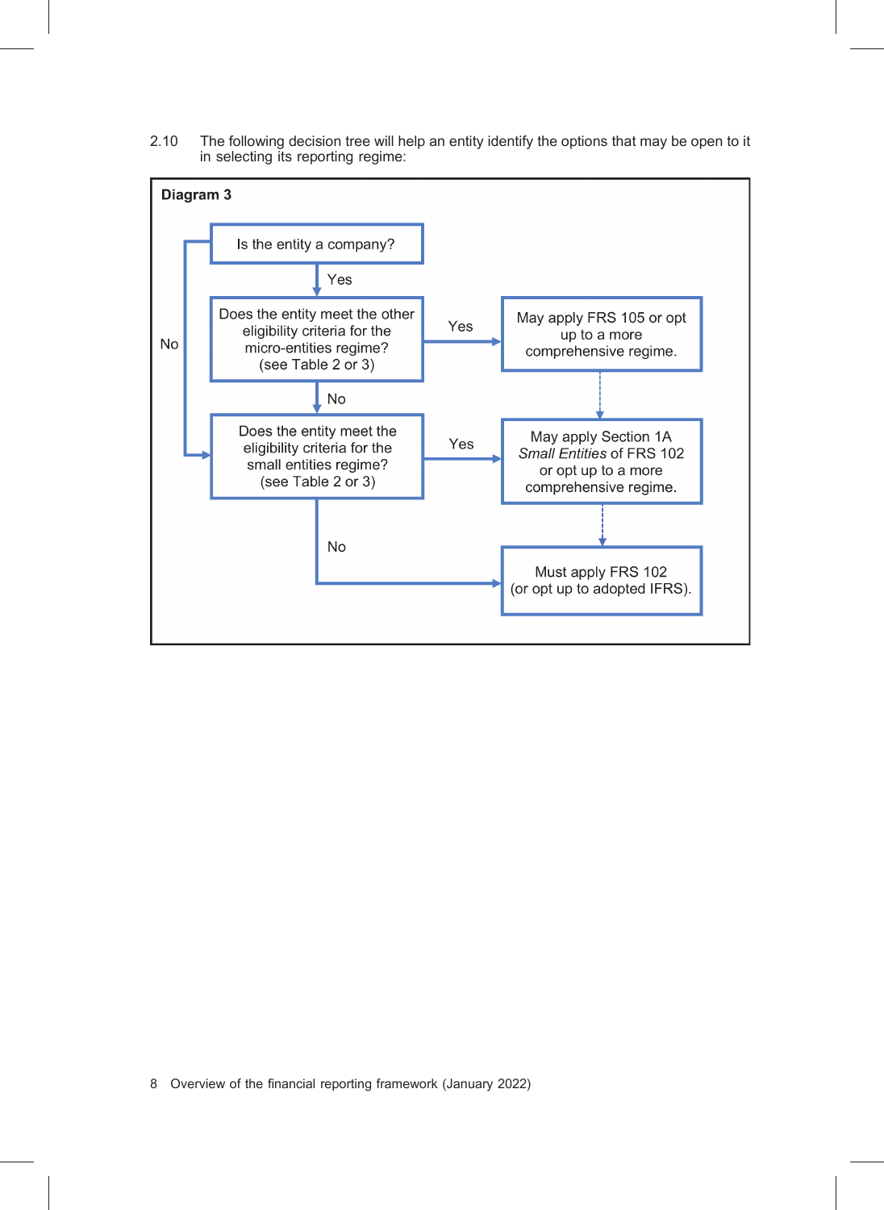2.10 The following decision tree will help an entity identify the options that may be open to it in selecting its reporting regime:

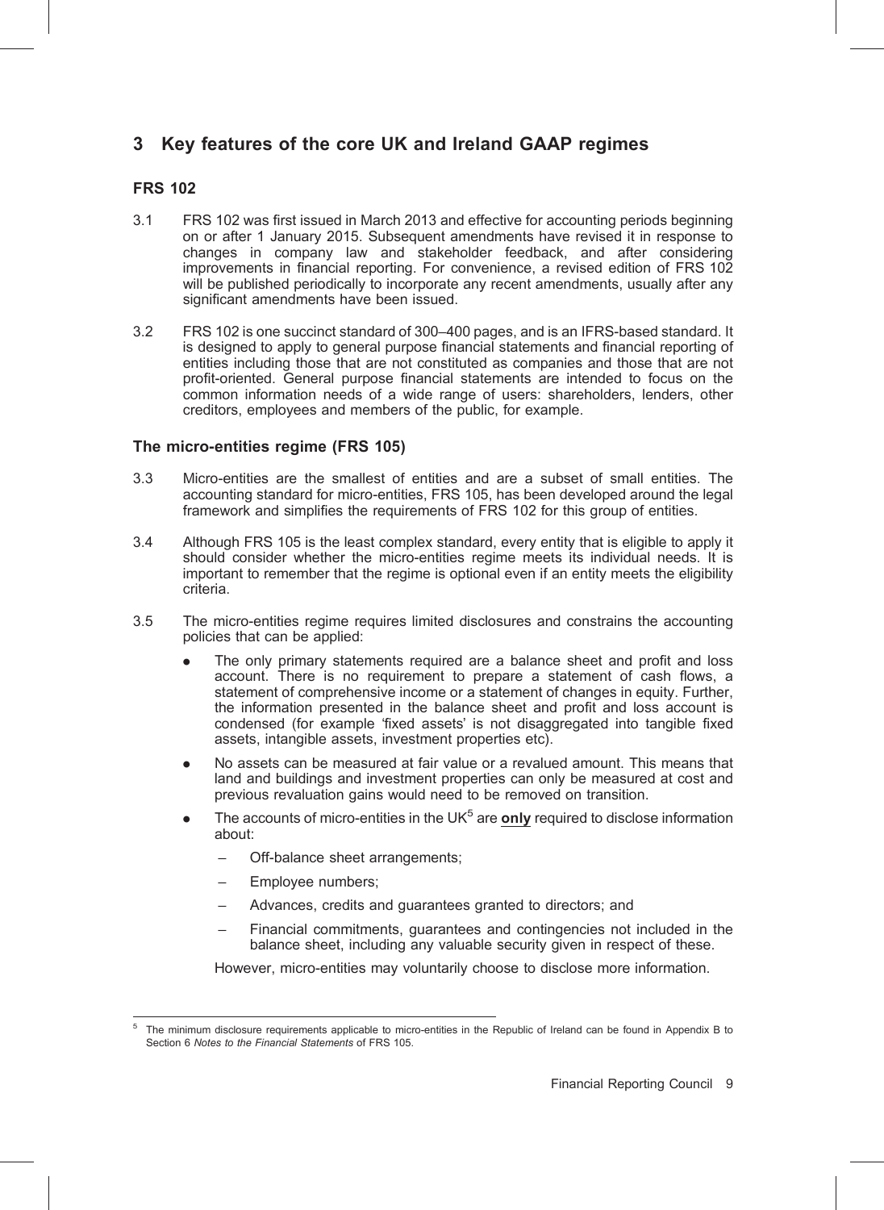## 3 Key features of the core UK and Ireland GAAP regimes

#### FRS 102

- 3.1 FRS 102 was first issued in March 2013 and effective for accounting periods beginning on or after 1 January 2015. Subsequent amendments have revised it in response to changes in company law and stakeholder feedback, and after considering improvements in financial reporting. For convenience, a revised edition of FRS 102 will be published periodically to incorporate any recent amendments, usually after any significant amendments have been issued.
- 3.2 FRS 102 is one succinct standard of 300–400 pages, and is an IFRS-based standard. It is designed to apply to general purpose financial statements and financial reporting of entities including those that are not constituted as companies and those that are not profit-oriented. General purpose financial statements are intended to focus on the common information needs of a wide range of users: shareholders, lenders, other creditors, employees and members of the public, for example.

#### The micro-entities regime (FRS 105)

- 3.3 Micro-entities are the smallest of entities and are a subset of small entities. The accounting standard for micro-entities, FRS 105, has been developed around the legal framework and simplifies the requirements of FRS 102 for this group of entities.
- 3.4 Although FRS 105 is the least complex standard, every entity that is eligible to apply it should consider whether the micro-entities regime meets its individual needs. It is important to remember that the regime is optional even if an entity meets the eligibility criteria.
- 3.5 The micro-entities regime requires limited disclosures and constrains the accounting policies that can be applied:
	- The only primary statements required are a balance sheet and profit and loss account. There is no requirement to prepare a statement of cash flows, a statement of comprehensive income or a statement of changes in equity. Further, the information presented in the balance sheet and profit and loss account is condensed (for example 'fixed assets' is not disaggregated into tangible fixed assets, intangible assets, investment properties etc).
	- . No assets can be measured at fair value or a revalued amount. This means that land and buildings and investment properties can only be measured at cost and previous revaluation gains would need to be removed on transition.
	- The accounts of micro-entities in the UK $<sup>5</sup>$  are only required to disclose information</sup> about:
		- Off-balance sheet arrangements;
		- Employee numbers;
		- Advances, credits and guarantees granted to directors; and
		- Financial commitments, guarantees and contingencies not included in the balance sheet, including any valuable security given in respect of these.

However, micro-entities may voluntarily choose to disclose more information.

The minimum disclosure requirements applicable to micro-entities in the Republic of Ireland can be found in Appendix B to Section 6 Notes to the Financial Statements of FRS 105.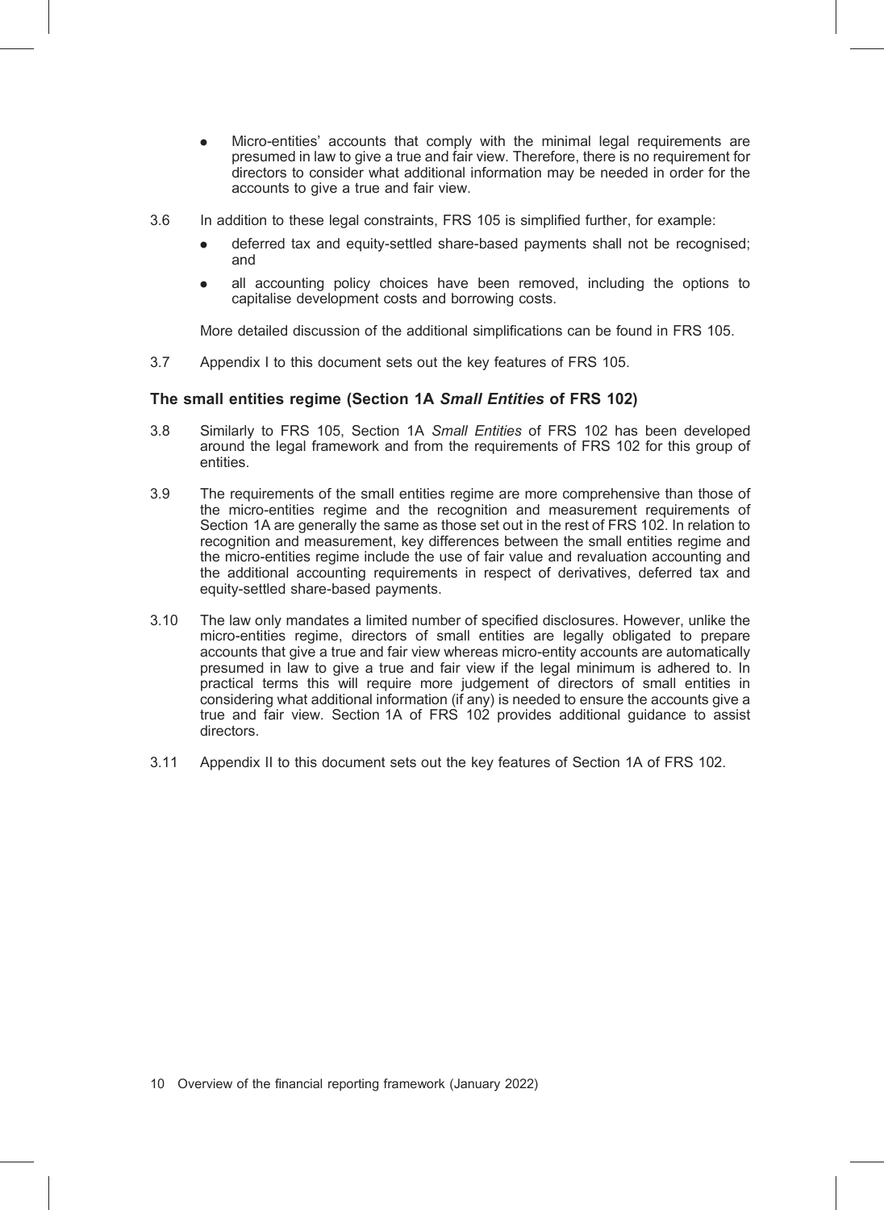- . Micro-entities' accounts that comply with the minimal legal requirements are presumed in law to give a true and fair view. Therefore, there is no requirement for directors to consider what additional information may be needed in order for the accounts to give a true and fair view.
- 3.6 In addition to these legal constraints, FRS 105 is simplified further, for example:
	- . deferred tax and equity-settled share-based payments shall not be recognised; and
	- . all accounting policy choices have been removed, including the options to capitalise development costs and borrowing costs.

More detailed discussion of the additional simplifications can be found in FRS 105.

3.7 Appendix I to this document sets out the key features of FRS 105.

#### The small entities regime (Section 1A Small Entities of FRS 102)

- 3.8 Similarly to FRS 105, Section 1A Small Entities of FRS 102 has been developed around the legal framework and from the requirements of FRS 102 for this group of entities.
- 3.9 The requirements of the small entities regime are more comprehensive than those of the micro-entities regime and the recognition and measurement requirements of Section 1A are generally the same as those set out in the rest of FRS 102. In relation to recognition and measurement, key differences between the small entities regime and the micro-entities regime include the use of fair value and revaluation accounting and the additional accounting requirements in respect of derivatives, deferred tax and equity-settled share-based payments.
- 3.10 The law only mandates a limited number of specified disclosures. However, unlike the micro-entities regime, directors of small entities are legally obligated to prepare accounts that give a true and fair view whereas micro-entity accounts are automatically presumed in law to give a true and fair view if the legal minimum is adhered to. In practical terms this will require more judgement of directors of small entities in considering what additional information (if any) is needed to ensure the accounts give a true and fair view. Section 1A of FRS 102 provides additional guidance to assist directors.
- 3.11 Appendix II to this document sets out the key features of Section 1A of FRS 102.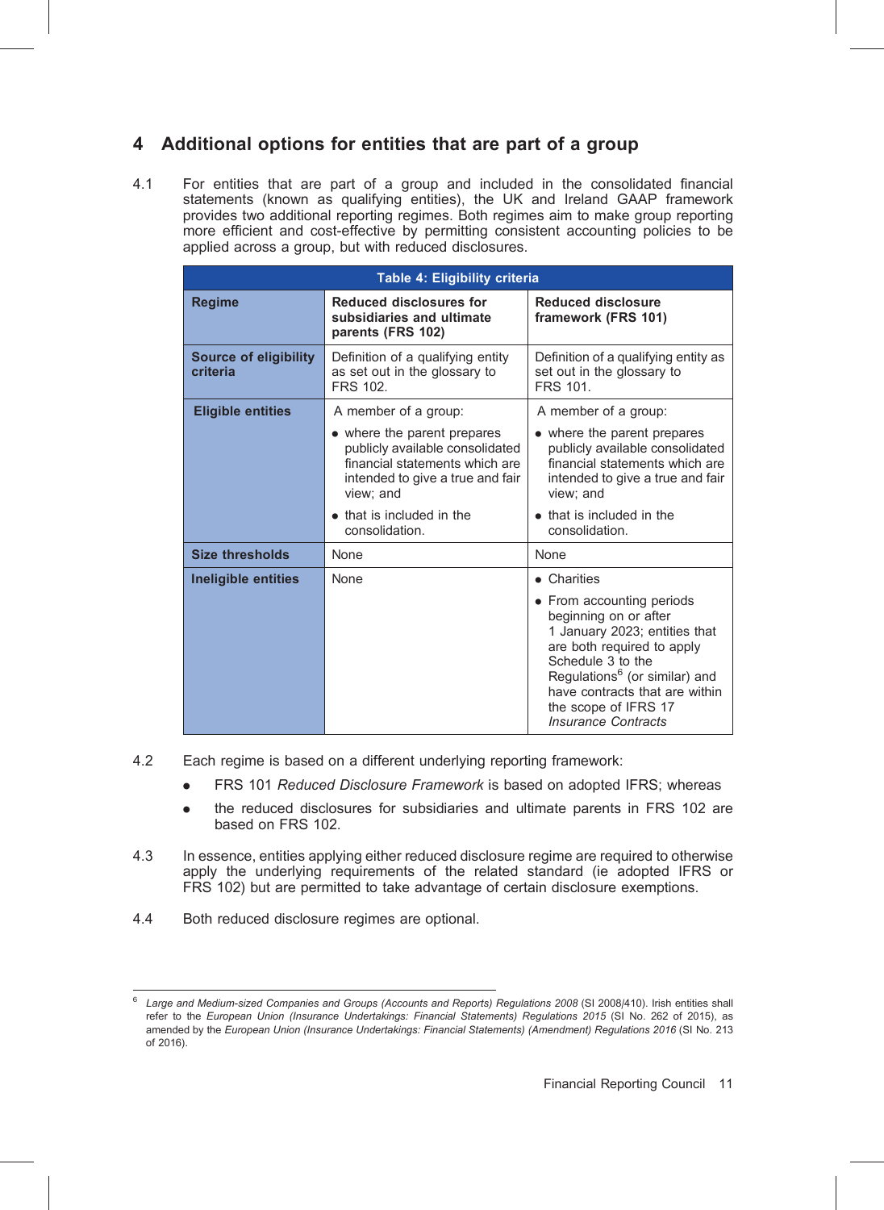## 4 Additional options for entities that are part of a group

4.1 For entities that are part of a group and included in the consolidated financial statements (known as qualifying entities), the UK and Ireland GAAP framework provides two additional reporting regimes. Both regimes aim to make group reporting more efficient and cost-effective by permitting consistent accounting policies to be applied across a group, but with reduced disclosures.

| Table 4: Eligibility criteria            |                                                                                                                                                   |                                                                                                                                                                                                                                                                      |
|------------------------------------------|---------------------------------------------------------------------------------------------------------------------------------------------------|----------------------------------------------------------------------------------------------------------------------------------------------------------------------------------------------------------------------------------------------------------------------|
| <b>Regime</b>                            | <b>Reduced disclosures for</b><br>subsidiaries and ultimate<br>parents (FRS 102)                                                                  | <b>Reduced disclosure</b><br>framework (FRS 101)                                                                                                                                                                                                                     |
| <b>Source of eligibility</b><br>criteria | Definition of a qualifying entity<br>as set out in the glossary to<br><b>FRS 102.</b>                                                             | Definition of a qualifying entity as<br>set out in the glossary to<br><b>FRS 101.</b>                                                                                                                                                                                |
| <b>Eligible entities</b>                 | A member of a group:                                                                                                                              | A member of a group:                                                                                                                                                                                                                                                 |
|                                          | • where the parent prepares<br>publicly available consolidated<br>financial statements which are<br>intended to give a true and fair<br>view; and | • where the parent prepares<br>publicly available consolidated<br>financial statements which are<br>intended to give a true and fair<br>view; and                                                                                                                    |
|                                          | $\bullet$ that is included in the<br>consolidation.                                                                                               | $\bullet$ that is included in the<br>consolidation.                                                                                                                                                                                                                  |
| <b>Size thresholds</b>                   | <b>None</b>                                                                                                                                       | <b>None</b>                                                                                                                                                                                                                                                          |
| Ineligible entities                      | <b>None</b>                                                                                                                                       | • Charities                                                                                                                                                                                                                                                          |
|                                          |                                                                                                                                                   | • From accounting periods<br>beginning on or after<br>1 January 2023; entities that<br>are both required to apply<br>Schedule 3 to the<br>Regulations <sup>6</sup> (or similar) and<br>have contracts that are within<br>the scope of IFRS 17<br>Insurance Contracts |

- 4.2 Each regime is based on a different underlying reporting framework:
	- FRS 101 Reduced Disclosure Framework is based on adopted IFRS; whereas
	- . the reduced disclosures for subsidiaries and ultimate parents in FRS 102 are based on FRS 102.
- 4.3 In essence, entities applying either reduced disclosure regime are required to otherwise apply the underlying requirements of the related standard (ie adopted IFRS or FRS 102) but are permitted to take advantage of certain disclosure exemptions.
- 4.4 Both reduced disclosure regimes are optional.

<sup>&</sup>lt;sup>6</sup> Large and Medium-sized Companies and Groups (Accounts and Reports) Regulations 2008 (SI 2008/410). Irish entities shall refer to the European Union (Insurance Undertakings: Financial Statements) Regulations 2015 (SI No. 262 of 2015), as amended by the European Union (Insurance Undertakings: Financial Statements) (Amendment) Regulations 2016 (SI No. 213 of 2016).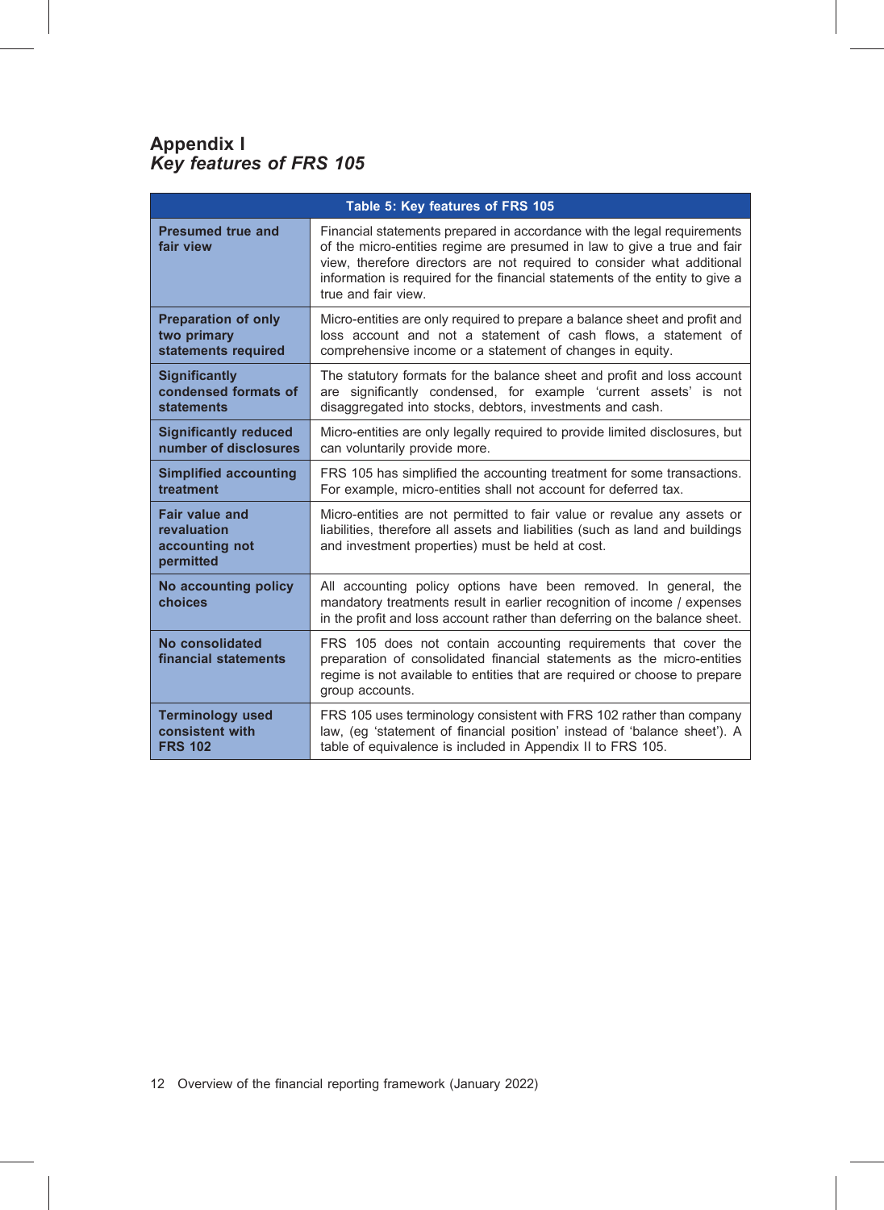#### Appendix I Key features of FRS 105

| Table 5: Key features of FRS 105                                    |                                                                                                                                                                                                                                                                                                                                      |  |
|---------------------------------------------------------------------|--------------------------------------------------------------------------------------------------------------------------------------------------------------------------------------------------------------------------------------------------------------------------------------------------------------------------------------|--|
| <b>Presumed true and</b><br>fair view                               | Financial statements prepared in accordance with the legal requirements<br>of the micro-entities regime are presumed in law to give a true and fair<br>view, therefore directors are not required to consider what additional<br>information is required for the financial statements of the entity to give a<br>true and fair view. |  |
| <b>Preparation of only</b>                                          | Micro-entities are only required to prepare a balance sheet and profit and                                                                                                                                                                                                                                                           |  |
| two primary                                                         | loss account and not a statement of cash flows, a statement of                                                                                                                                                                                                                                                                       |  |
| statements required                                                 | comprehensive income or a statement of changes in equity.                                                                                                                                                                                                                                                                            |  |
| <b>Significantly</b>                                                | The statutory formats for the balance sheet and profit and loss account                                                                                                                                                                                                                                                              |  |
| condensed formats of                                                | are significantly condensed, for example 'current assets' is not                                                                                                                                                                                                                                                                     |  |
| <b>statements</b>                                                   | disaggregated into stocks, debtors, investments and cash.                                                                                                                                                                                                                                                                            |  |
| <b>Significantly reduced</b>                                        | Micro-entities are only legally required to provide limited disclosures, but                                                                                                                                                                                                                                                         |  |
| number of disclosures                                               | can voluntarily provide more.                                                                                                                                                                                                                                                                                                        |  |
| <b>Simplified accounting</b>                                        | FRS 105 has simplified the accounting treatment for some transactions.                                                                                                                                                                                                                                                               |  |
| treatment                                                           | For example, micro-entities shall not account for deferred tax.                                                                                                                                                                                                                                                                      |  |
| <b>Fair value and</b><br>revaluation<br>accounting not<br>permitted | Micro-entities are not permitted to fair value or revalue any assets or<br>liabilities, therefore all assets and liabilities (such as land and buildings<br>and investment properties) must be held at cost.                                                                                                                         |  |
| <b>No accounting policy</b><br>choices                              | All accounting policy options have been removed. In general, the<br>mandatory treatments result in earlier recognition of income / expenses<br>in the profit and loss account rather than deferring on the balance sheet.                                                                                                            |  |
| No consolidated<br>financial statements                             | FRS 105 does not contain accounting requirements that cover the<br>preparation of consolidated financial statements as the micro-entities<br>regime is not available to entities that are required or choose to prepare<br>group accounts.                                                                                           |  |
| <b>Terminology used</b>                                             | FRS 105 uses terminology consistent with FRS 102 rather than company                                                                                                                                                                                                                                                                 |  |
| consistent with                                                     | law, (eg 'statement of financial position' instead of 'balance sheet'). A                                                                                                                                                                                                                                                            |  |
| <b>FRS 102</b>                                                      | table of equivalence is included in Appendix II to FRS 105.                                                                                                                                                                                                                                                                          |  |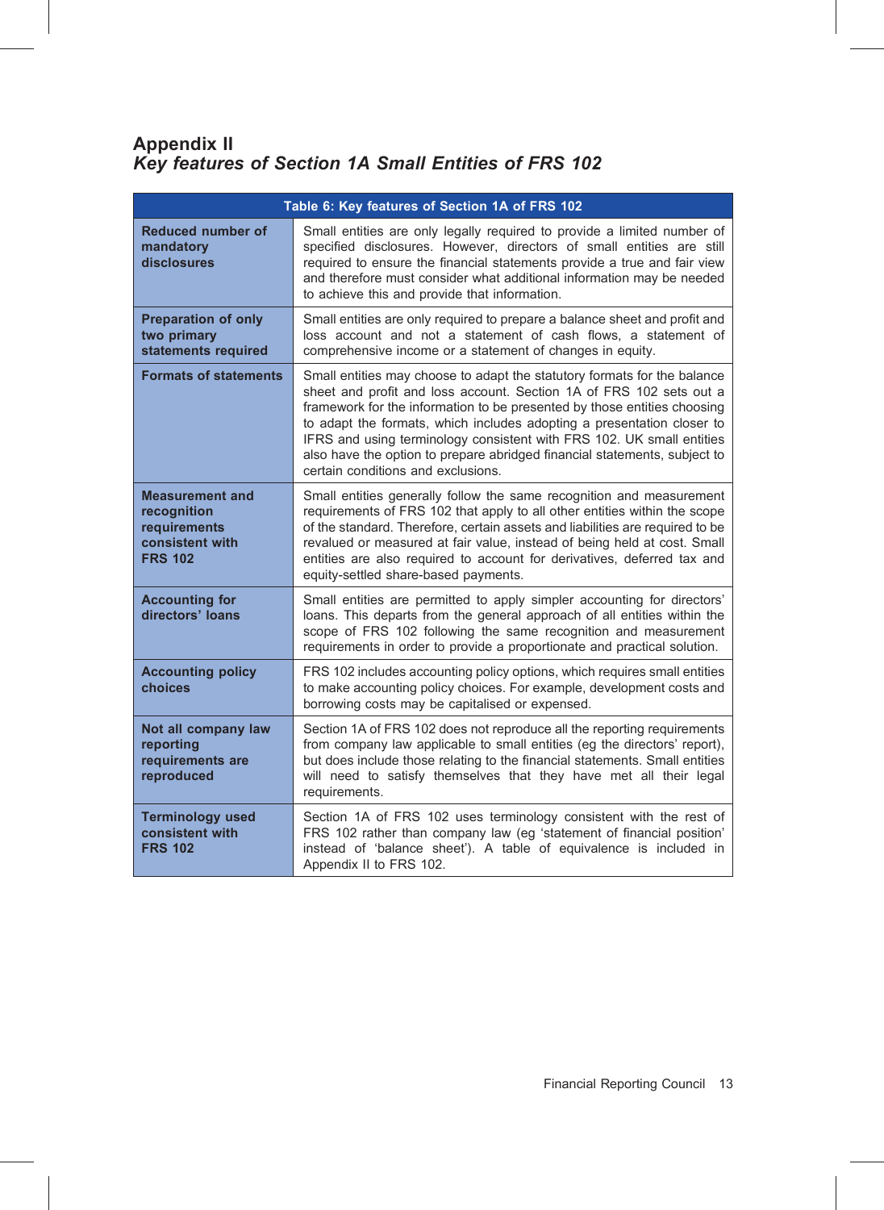### Appendix II Key features of Section 1A Small Entities of FRS 102

| Table 6: Key features of Section 1A of FRS 102                                             |                                                                                                                                                                                                                                                                                                                                                                                                                                                                                                   |  |
|--------------------------------------------------------------------------------------------|---------------------------------------------------------------------------------------------------------------------------------------------------------------------------------------------------------------------------------------------------------------------------------------------------------------------------------------------------------------------------------------------------------------------------------------------------------------------------------------------------|--|
| <b>Reduced number of</b><br>mandatory<br>disclosures                                       | Small entities are only legally required to provide a limited number of<br>specified disclosures. However, directors of small entities are still<br>required to ensure the financial statements provide a true and fair view<br>and therefore must consider what additional information may be needed<br>to achieve this and provide that information.                                                                                                                                            |  |
| <b>Preparation of only</b><br>two primary<br>statements required                           | Small entities are only required to prepare a balance sheet and profit and<br>loss account and not a statement of cash flows, a statement of<br>comprehensive income or a statement of changes in equity.                                                                                                                                                                                                                                                                                         |  |
| <b>Formats of statements</b>                                                               | Small entities may choose to adapt the statutory formats for the balance<br>sheet and profit and loss account. Section 1A of FRS 102 sets out a<br>framework for the information to be presented by those entities choosing<br>to adapt the formats, which includes adopting a presentation closer to<br>IFRS and using terminology consistent with FRS 102. UK small entities<br>also have the option to prepare abridged financial statements, subject to<br>certain conditions and exclusions. |  |
| <b>Measurement and</b><br>recognition<br>requirements<br>consistent with<br><b>FRS 102</b> | Small entities generally follow the same recognition and measurement<br>requirements of FRS 102 that apply to all other entities within the scope<br>of the standard. Therefore, certain assets and liabilities are required to be<br>revalued or measured at fair value, instead of being held at cost. Small<br>entities are also required to account for derivatives, deferred tax and<br>equity-settled share-based payments.                                                                 |  |
| <b>Accounting for</b><br>directors' loans                                                  | Small entities are permitted to apply simpler accounting for directors'<br>loans. This departs from the general approach of all entities within the<br>scope of FRS 102 following the same recognition and measurement<br>requirements in order to provide a proportionate and practical solution.                                                                                                                                                                                                |  |
| <b>Accounting policy</b><br>choices                                                        | FRS 102 includes accounting policy options, which requires small entities<br>to make accounting policy choices. For example, development costs and<br>borrowing costs may be capitalised or expensed.                                                                                                                                                                                                                                                                                             |  |
| Not all company law<br>reporting<br>requirements are<br>reproduced                         | Section 1A of FRS 102 does not reproduce all the reporting requirements<br>from company law applicable to small entities (eg the directors' report),<br>but does include those relating to the financial statements. Small entities<br>will need to satisfy themselves that they have met all their legal<br>requirements.                                                                                                                                                                        |  |
| <b>Terminology used</b><br>consistent with<br><b>FRS 102</b>                               | Section 1A of FRS 102 uses terminology consistent with the rest of<br>FRS 102 rather than company law (eg 'statement of financial position'<br>instead of 'balance sheet'). A table of equivalence is included in<br>Appendix II to FRS 102.                                                                                                                                                                                                                                                      |  |